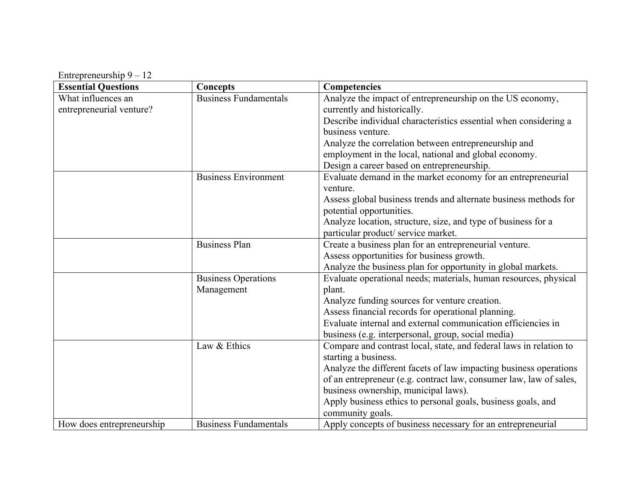Entrepreneurship 9 – 12

| <b>Essential Questions</b> | <b>Concepts</b>              | Competencies                                                       |
|----------------------------|------------------------------|--------------------------------------------------------------------|
| What influences an         | <b>Business Fundamentals</b> | Analyze the impact of entrepreneurship on the US economy,          |
| entrepreneurial venture?   |                              | currently and historically.                                        |
|                            |                              | Describe individual characteristics essential when considering a   |
|                            |                              | business venture.                                                  |
|                            |                              | Analyze the correlation between entrepreneurship and               |
|                            |                              | employment in the local, national and global economy.              |
|                            |                              | Design a career based on entrepreneurship.                         |
|                            | <b>Business Environment</b>  | Evaluate demand in the market economy for an entrepreneurial       |
|                            |                              | venture.                                                           |
|                            |                              | Assess global business trends and alternate business methods for   |
|                            |                              | potential opportunities.                                           |
|                            |                              | Analyze location, structure, size, and type of business for a      |
|                            |                              | particular product/service market.                                 |
|                            | <b>Business Plan</b>         | Create a business plan for an entrepreneurial venture.             |
|                            |                              | Assess opportunities for business growth.                          |
|                            |                              | Analyze the business plan for opportunity in global markets.       |
|                            | <b>Business Operations</b>   | Evaluate operational needs; materials, human resources, physical   |
|                            | Management                   | plant.                                                             |
|                            |                              | Analyze funding sources for venture creation.                      |
|                            |                              | Assess financial records for operational planning.                 |
|                            |                              | Evaluate internal and external communication efficiencies in       |
|                            |                              | business (e.g. interpersonal, group, social media)                 |
|                            | Law & Ethics                 | Compare and contrast local, state, and federal laws in relation to |
|                            |                              | starting a business.                                               |
|                            |                              | Analyze the different facets of law impacting business operations  |
|                            |                              | of an entrepreneur (e.g. contract law, consumer law, law of sales, |
|                            |                              | business ownership, municipal laws).                               |
|                            |                              | Apply business ethics to personal goals, business goals, and       |
|                            |                              | community goals.                                                   |
| How does entrepreneurship  | <b>Business Fundamentals</b> | Apply concepts of business necessary for an entrepreneurial        |